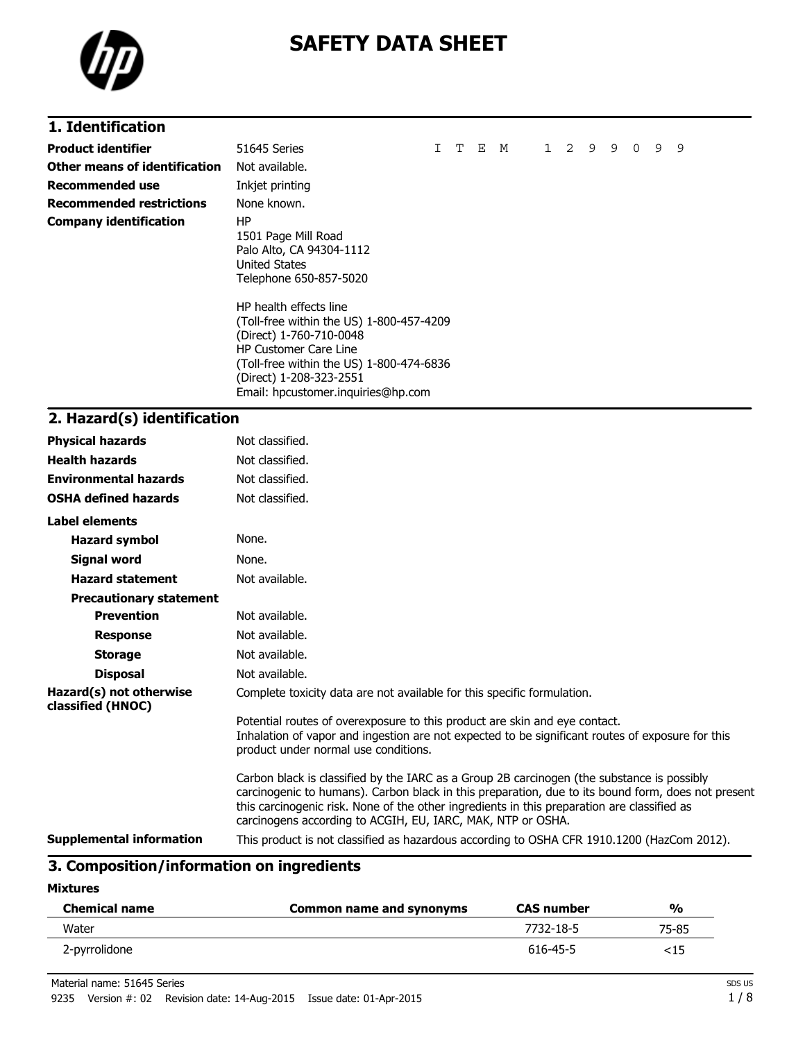

# **SAFETY DATA SHEET**

# **1. Identification**

| <b>Product identifier</b>       | 51645 Series                                                                                                                                                                                                                               | T | Е | M | $1\quad 2$ | 9 | 9 | $\Omega$ | 9 | 9 |
|---------------------------------|--------------------------------------------------------------------------------------------------------------------------------------------------------------------------------------------------------------------------------------------|---|---|---|------------|---|---|----------|---|---|
| Other means of identification   | Not available.                                                                                                                                                                                                                             |   |   |   |            |   |   |          |   |   |
| <b>Recommended use</b>          | Inkjet printing                                                                                                                                                                                                                            |   |   |   |            |   |   |          |   |   |
| <b>Recommended restrictions</b> | None known.                                                                                                                                                                                                                                |   |   |   |            |   |   |          |   |   |
| <b>Company identification</b>   | ΗP<br>1501 Page Mill Road<br>Palo Alto, CA 94304-1112<br>United States<br>Telephone 650-857-5020                                                                                                                                           |   |   |   |            |   |   |          |   |   |
|                                 | HP health effects line<br>(Toll-free within the US) 1-800-457-4209<br>(Direct) 1-760-710-0048<br><b>HP Customer Care Line</b><br>(Toll-free within the US) 1-800-474-6836<br>(Direct) 1-208-323-2551<br>Email: hpcustomer.inquiries@hp.com |   |   |   |            |   |   |          |   |   |

### **2. Hazard(s) identification**

| <b>Physical hazards</b>                      | Not classified.                                                                                                                                                                                                                                                                                                                                                |
|----------------------------------------------|----------------------------------------------------------------------------------------------------------------------------------------------------------------------------------------------------------------------------------------------------------------------------------------------------------------------------------------------------------------|
| <b>Health hazards</b>                        | Not classified.                                                                                                                                                                                                                                                                                                                                                |
| <b>Environmental hazards</b>                 | Not classified.                                                                                                                                                                                                                                                                                                                                                |
| <b>OSHA defined hazards</b>                  | Not classified.                                                                                                                                                                                                                                                                                                                                                |
| <b>Label elements</b>                        |                                                                                                                                                                                                                                                                                                                                                                |
| <b>Hazard symbol</b>                         | None.                                                                                                                                                                                                                                                                                                                                                          |
| <b>Signal word</b>                           | None.                                                                                                                                                                                                                                                                                                                                                          |
| <b>Hazard statement</b>                      | Not available.                                                                                                                                                                                                                                                                                                                                                 |
| <b>Precautionary statement</b>               |                                                                                                                                                                                                                                                                                                                                                                |
| <b>Prevention</b>                            | Not available.                                                                                                                                                                                                                                                                                                                                                 |
| <b>Response</b>                              | Not available.                                                                                                                                                                                                                                                                                                                                                 |
| <b>Storage</b>                               | Not available.                                                                                                                                                                                                                                                                                                                                                 |
| <b>Disposal</b>                              | Not available.                                                                                                                                                                                                                                                                                                                                                 |
| Hazard(s) not otherwise<br>classified (HNOC) | Complete toxicity data are not available for this specific formulation.                                                                                                                                                                                                                                                                                        |
|                                              | Potential routes of overexposure to this product are skin and eye contact.<br>Inhalation of vapor and ingestion are not expected to be significant routes of exposure for this<br>product under normal use conditions.                                                                                                                                         |
|                                              | Carbon black is classified by the IARC as a Group 2B carcinogen (the substance is possibly<br>carcinogenic to humans). Carbon black in this preparation, due to its bound form, does not present<br>this carcinogenic risk. None of the other ingredients in this preparation are classified as<br>carcinogens according to ACGIH, EU, IARC, MAK, NTP or OSHA. |
| <b>Supplemental information</b>              | This product is not classified as hazardous according to OSHA CFR 1910.1200 (HazCom 2012).                                                                                                                                                                                                                                                                     |

### **3. Composition/information on ingredients**

**Mixtures**

| <b>Chemical name</b> | Common name and synonyms | <b>CAS number</b> | %     |
|----------------------|--------------------------|-------------------|-------|
| Water                |                          | 7732-18-5         | 75-85 |
| 2-pyrrolidone        |                          | 616-45-5          | <15   |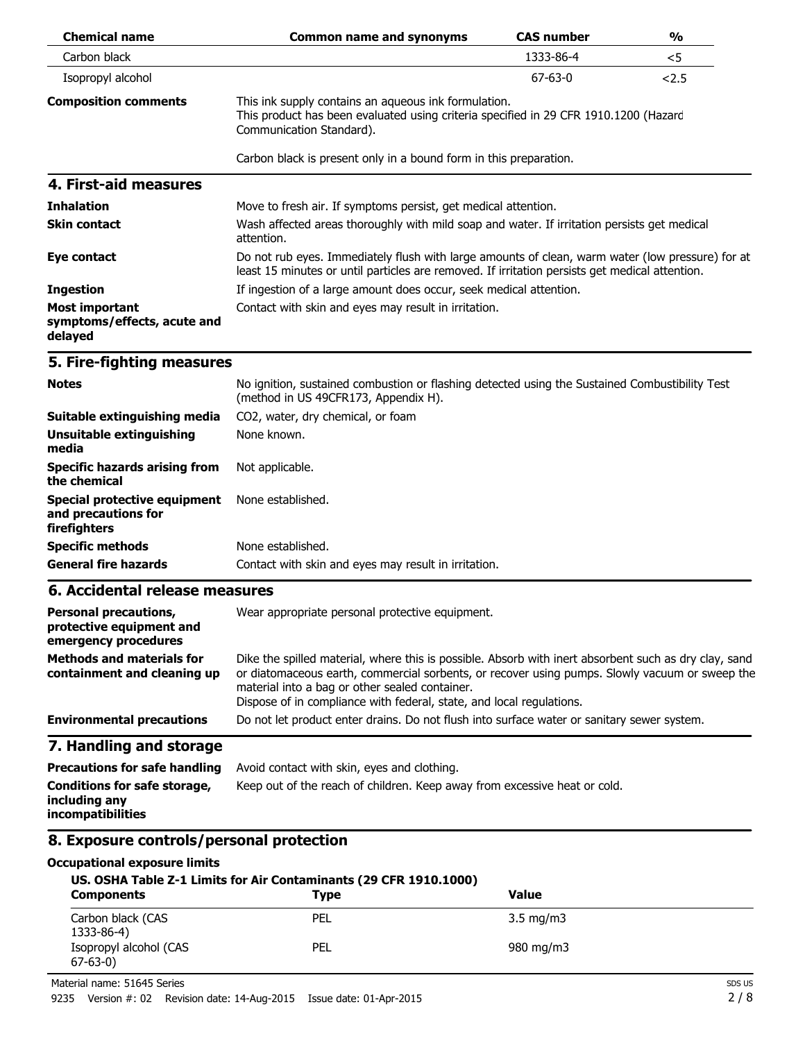| <b>Chemical name</b>                                                             | <b>Common name and synonyms</b>                                                                                                                                                                                                                                                                                                   | <b>CAS number</b> | $\frac{0}{0}$ |  |  |
|----------------------------------------------------------------------------------|-----------------------------------------------------------------------------------------------------------------------------------------------------------------------------------------------------------------------------------------------------------------------------------------------------------------------------------|-------------------|---------------|--|--|
| Carbon black                                                                     |                                                                                                                                                                                                                                                                                                                                   | 1333-86-4         | $<$ 5         |  |  |
| Isopropyl alcohol                                                                |                                                                                                                                                                                                                                                                                                                                   | $67 - 63 - 0$     | 2.5           |  |  |
| <b>Composition comments</b>                                                      | This ink supply contains an aqueous ink formulation.<br>This product has been evaluated using criteria specified in 29 CFR 1910.1200 (Hazard<br>Communication Standard).                                                                                                                                                          |                   |               |  |  |
|                                                                                  | Carbon black is present only in a bound form in this preparation.                                                                                                                                                                                                                                                                 |                   |               |  |  |
| 4. First-aid measures                                                            |                                                                                                                                                                                                                                                                                                                                   |                   |               |  |  |
| <b>Inhalation</b>                                                                | Move to fresh air. If symptoms persist, get medical attention.                                                                                                                                                                                                                                                                    |                   |               |  |  |
| <b>Skin contact</b>                                                              | Wash affected areas thoroughly with mild soap and water. If irritation persists get medical<br>attention.                                                                                                                                                                                                                         |                   |               |  |  |
| Eye contact                                                                      | Do not rub eyes. Immediately flush with large amounts of clean, warm water (low pressure) for at<br>least 15 minutes or until particles are removed. If irritation persists get medical attention.                                                                                                                                |                   |               |  |  |
| <b>Ingestion</b>                                                                 | If ingestion of a large amount does occur, seek medical attention.                                                                                                                                                                                                                                                                |                   |               |  |  |
| <b>Most important</b><br>symptoms/effects, acute and<br>delayed                  | Contact with skin and eyes may result in irritation.                                                                                                                                                                                                                                                                              |                   |               |  |  |
| 5. Fire-fighting measures                                                        |                                                                                                                                                                                                                                                                                                                                   |                   |               |  |  |
| <b>Notes</b>                                                                     | No ignition, sustained combustion or flashing detected using the Sustained Combustibility Test<br>(method in US 49CFR173, Appendix H).                                                                                                                                                                                            |                   |               |  |  |
| Suitable extinguishing media                                                     | CO2, water, dry chemical, or foam                                                                                                                                                                                                                                                                                                 |                   |               |  |  |
| <b>Unsuitable extinguishing</b><br>media                                         | None known.                                                                                                                                                                                                                                                                                                                       |                   |               |  |  |
| <b>Specific hazards arising from</b><br>the chemical                             | Not applicable.                                                                                                                                                                                                                                                                                                                   |                   |               |  |  |
| <b>Special protective equipment</b><br>and precautions for<br>firefighters       | None established.                                                                                                                                                                                                                                                                                                                 |                   |               |  |  |
| <b>Specific methods</b>                                                          | None established.                                                                                                                                                                                                                                                                                                                 |                   |               |  |  |
| <b>General fire hazards</b>                                                      | Contact with skin and eyes may result in irritation.                                                                                                                                                                                                                                                                              |                   |               |  |  |
| 6. Accidental release measures                                                   |                                                                                                                                                                                                                                                                                                                                   |                   |               |  |  |
| <b>Personal precautions,</b><br>protective equipment and<br>emergency procedures | Wear appropriate personal protective equipment.                                                                                                                                                                                                                                                                                   |                   |               |  |  |
| <b>Methods and materials for</b><br>containment and cleaning up                  | Dike the spilled material, where this is possible. Absorb with inert absorbent such as dry clay, sand<br>or diatomaceous earth, commercial sorbents, or recover using pumps. Slowly vacuum or sweep the<br>material into a bag or other sealed container.<br>Dispose of in compliance with federal, state, and local regulations. |                   |               |  |  |
| <b>Environmental precautions</b>                                                 | Do not let product enter drains. Do not flush into surface water or sanitary sewer system.                                                                                                                                                                                                                                        |                   |               |  |  |
| 7. Handling and storage                                                          |                                                                                                                                                                                                                                                                                                                                   |                   |               |  |  |
| <b>Precautions for safe handling</b>                                             | Avoid contact with skin, eyes and clothing.                                                                                                                                                                                                                                                                                       |                   |               |  |  |
| Conditions for safe storage,<br>including any<br>incompatibilities               | Keep out of the reach of children. Keep away from excessive heat or cold.                                                                                                                                                                                                                                                         |                   |               |  |  |
| 8. Exposure controls/personal protection                                         |                                                                                                                                                                                                                                                                                                                                   |                   |               |  |  |
| <b>Occupational exposure limits</b>                                              | US. OSHA Table Z-1 Limits for Air Contaminants (29 CFR 1910.1000)                                                                                                                                                                                                                                                                 |                   |               |  |  |

| <b>Components</b>                       | 03. 0311A Table 2-1 Lillius IVI All Containinants (29 CLK 1910.1000)<br><b>Type</b> | Value              |  |
|-----------------------------------------|-------------------------------------------------------------------------------------|--------------------|--|
| Carbon black (CAS<br>1333-86-4)         | PEL                                                                                 | $3.5 \text{ mg/m}$ |  |
| Isopropyl alcohol (CAS<br>$67 - 63 - 0$ | PEL                                                                                 | 980 mg/m3          |  |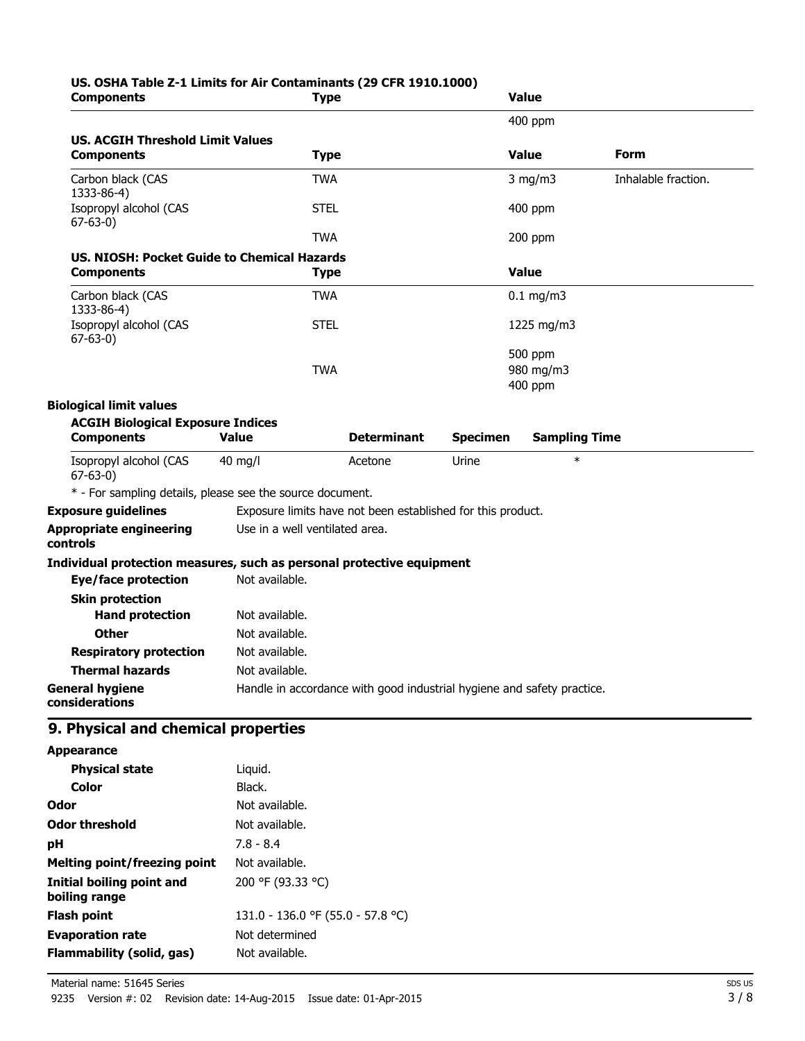# **US. OSHA Table Z-1 Limits for Air Contaminants (29 CFR 1910.1000)**

| <b>Components</b>                                                     | <b>Type</b>                                                            |                    |                 | <b>Value</b>         |                     |
|-----------------------------------------------------------------------|------------------------------------------------------------------------|--------------------|-----------------|----------------------|---------------------|
|                                                                       |                                                                        |                    |                 | 400 ppm              |                     |
| <b>US. ACGIH Threshold Limit Values</b>                               |                                                                        |                    |                 |                      |                     |
| <b>Components</b>                                                     | <b>Type</b>                                                            |                    |                 | <b>Value</b>         | <b>Form</b>         |
| Carbon black (CAS<br>1333-86-4)                                       | <b>TWA</b>                                                             |                    |                 | $3$ mg/m $3$         | Inhalable fraction. |
| Isopropyl alcohol (CAS<br>$67 - 63 - 0$                               | <b>STEL</b>                                                            |                    |                 | $400$ ppm            |                     |
|                                                                       | <b>TWA</b>                                                             |                    |                 | 200 ppm              |                     |
| US. NIOSH: Pocket Guide to Chemical Hazards                           |                                                                        |                    |                 |                      |                     |
| <b>Components</b>                                                     | <b>Type</b>                                                            |                    |                 | <b>Value</b>         |                     |
| Carbon black (CAS<br>1333-86-4)                                       | <b>TWA</b>                                                             |                    |                 | $0.1$ mg/m3          |                     |
| Isopropyl alcohol (CAS<br>$67-63-0$                                   | <b>STEL</b>                                                            |                    |                 | 1225 mg/m3           |                     |
|                                                                       | <b>TWA</b>                                                             |                    |                 | 500 ppm              |                     |
|                                                                       |                                                                        |                    |                 | 980 mg/m3<br>400 ppm |                     |
| <b>Biological limit values</b>                                        |                                                                        |                    |                 |                      |                     |
| <b>ACGIH Biological Exposure Indices</b>                              |                                                                        |                    |                 |                      |                     |
| <b>Components</b>                                                     | <b>Value</b>                                                           | <b>Determinant</b> | <b>Specimen</b> | <b>Sampling Time</b> |                     |
| Isopropyl alcohol (CAS<br>$67 - 63 - 0$                               | $40$ mg/l                                                              | Acetone            | Urine           | $\ast$               |                     |
| * - For sampling details, please see the source document.             |                                                                        |                    |                 |                      |                     |
| <b>Exposure guidelines</b>                                            | Exposure limits have not been established for this product.            |                    |                 |                      |                     |
| <b>Appropriate engineering</b><br>controls                            | Use in a well ventilated area.                                         |                    |                 |                      |                     |
| Individual protection measures, such as personal protective equipment |                                                                        |                    |                 |                      |                     |
| <b>Eye/face protection</b>                                            | Not available.                                                         |                    |                 |                      |                     |
| <b>Skin protection</b>                                                |                                                                        |                    |                 |                      |                     |
| <b>Hand protection</b>                                                | Not available.                                                         |                    |                 |                      |                     |
| <b>Other</b>                                                          | Not available.                                                         |                    |                 |                      |                     |
| <b>Respiratory protection</b>                                         | Not available.                                                         |                    |                 |                      |                     |
| <b>Thermal hazards</b>                                                | Not available.                                                         |                    |                 |                      |                     |
| <b>General hygiene</b><br>considerations                              | Handle in accordance with good industrial hygiene and safety practice. |                    |                 |                      |                     |
| 9. Physical and chemical properties                                   |                                                                        |                    |                 |                      |                     |
| <b>Appearance</b>                                                     |                                                                        |                    |                 |                      |                     |
| <b>Physical state</b>                                                 | Liquid.                                                                |                    |                 |                      |                     |
| <b>Color</b>                                                          | Black.                                                                 |                    |                 |                      |                     |
| Odor                                                                  | Not available.                                                         |                    |                 |                      |                     |
| <b>Odor threshold</b>                                                 | Not available.                                                         |                    |                 |                      |                     |
| pH                                                                    | $7.8 - 8.4$                                                            |                    |                 |                      |                     |
| <b>Melting point/freezing point</b>                                   | Not available.                                                         |                    |                 |                      |                     |
| <b>Initial boiling point and</b><br>boiling range                     | 200 °F (93.33 °C)                                                      |                    |                 |                      |                     |
| <b>Flash point</b>                                                    | 131.0 - 136.0 °F (55.0 - 57.8 °C)                                      |                    |                 |                      |                     |
| <b>Evaporation rate</b>                                               | Not determined                                                         |                    |                 |                      |                     |
| <b>Flammability (solid, gas)</b>                                      | Not available.                                                         |                    |                 |                      |                     |
|                                                                       |                                                                        |                    |                 |                      |                     |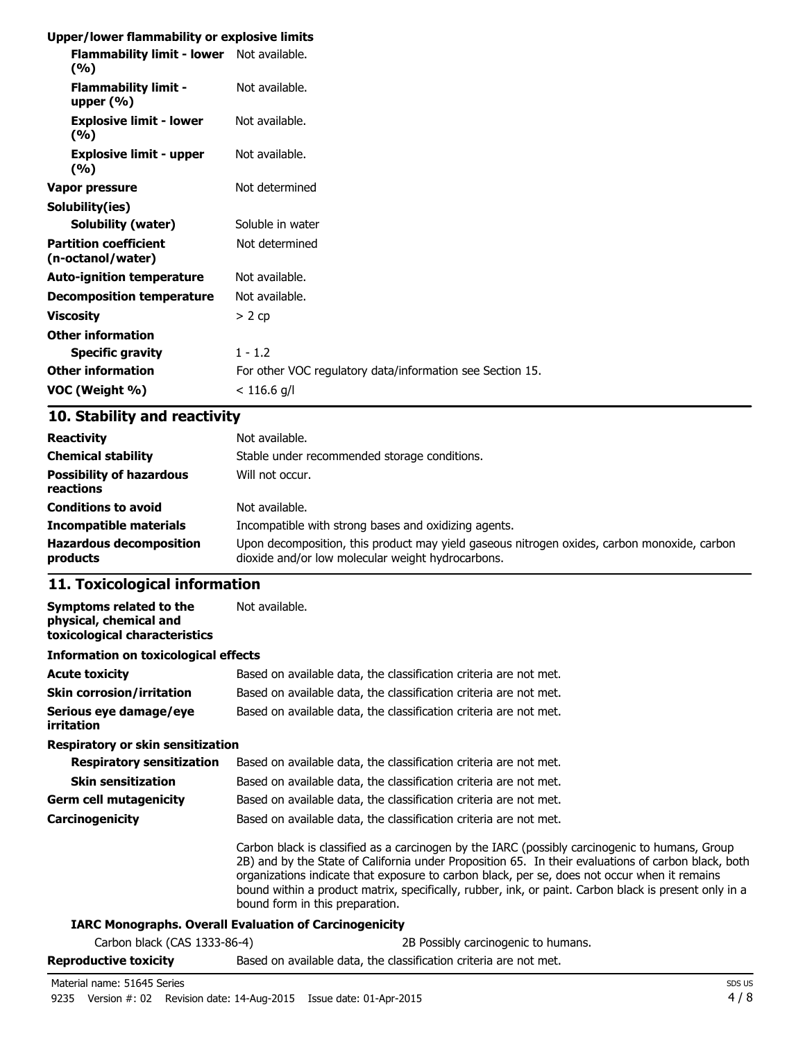#### **Upper/lower flammability or explosive limits**

| Flammability limit - lower Not available.<br>(9/6) |                                                           |
|----------------------------------------------------|-----------------------------------------------------------|
| <b>Flammability limit -</b><br>upper $(\% )$       | Not available.                                            |
| <b>Explosive limit - lower</b><br>(%)              | Not available.                                            |
| <b>Explosive limit - upper</b><br>(%)              | Not available.                                            |
| Vapor pressure                                     | Not determined                                            |
| Solubility(ies)                                    |                                                           |
| <b>Solubility (water)</b>                          | Soluble in water                                          |
| <b>Partition coefficient</b><br>(n-octanol/water)  | Not determined                                            |
| <b>Auto-ignition temperature</b>                   | Not available.                                            |
| <b>Decomposition temperature</b>                   | Not available.                                            |
| <b>Viscosity</b>                                   | $> 2$ cp                                                  |
| <b>Other information</b>                           |                                                           |
| <b>Specific gravity</b>                            | $1 - 1.2$                                                 |
| <b>Other information</b>                           | For other VOC regulatory data/information see Section 15. |
| VOC (Weight %)                                     | $< 116.6$ g/l                                             |
|                                                    |                                                           |

## **10. Stability and reactivity**

| <b>Reactivity</b><br><b>Chemical stability</b><br><b>Possibility of hazardous</b><br>reactions | Not available.<br>Stable under recommended storage conditions.<br>Will not occur.           |
|------------------------------------------------------------------------------------------------|---------------------------------------------------------------------------------------------|
| <b>Conditions to avoid</b>                                                                     | Not available.                                                                              |
| <b>Incompatible materials</b>                                                                  | Incompatible with strong bases and oxidizing agents.                                        |
| <b>Hazardous decomposition</b>                                                                 | Upon decomposition, this product may yield gaseous nitrogen oxides, carbon monoxide, carbon |
| products                                                                                       | dioxide and/or low molecular weight hydrocarbons.                                           |

## **11. Toxicological information**

| Symptoms related to the<br>physical, chemical and<br>toxicological characteristics | Not available.                                                                                                                                                                                                                                                                                                                                                                                                                                    |  |  |
|------------------------------------------------------------------------------------|---------------------------------------------------------------------------------------------------------------------------------------------------------------------------------------------------------------------------------------------------------------------------------------------------------------------------------------------------------------------------------------------------------------------------------------------------|--|--|
| <b>Information on toxicological effects</b>                                        |                                                                                                                                                                                                                                                                                                                                                                                                                                                   |  |  |
| <b>Acute toxicity</b>                                                              | Based on available data, the classification criteria are not met.                                                                                                                                                                                                                                                                                                                                                                                 |  |  |
| <b>Skin corrosion/irritation</b>                                                   | Based on available data, the classification criteria are not met.                                                                                                                                                                                                                                                                                                                                                                                 |  |  |
| Serious eye damage/eye<br><i>irritation</i>                                        | Based on available data, the classification criteria are not met.                                                                                                                                                                                                                                                                                                                                                                                 |  |  |
| Respiratory or skin sensitization                                                  |                                                                                                                                                                                                                                                                                                                                                                                                                                                   |  |  |
| <b>Respiratory sensitization</b>                                                   | Based on available data, the classification criteria are not met.                                                                                                                                                                                                                                                                                                                                                                                 |  |  |
| <b>Skin sensitization</b>                                                          | Based on available data, the classification criteria are not met.                                                                                                                                                                                                                                                                                                                                                                                 |  |  |
| <b>Germ cell mutagenicity</b>                                                      | Based on available data, the classification criteria are not met.                                                                                                                                                                                                                                                                                                                                                                                 |  |  |
| <b>Carcinogenicity</b>                                                             | Based on available data, the classification criteria are not met.                                                                                                                                                                                                                                                                                                                                                                                 |  |  |
|                                                                                    | Carbon black is classified as a carcinogen by the IARC (possibly carcinogenic to humans, Group<br>2B) and by the State of California under Proposition 65. In their evaluations of carbon black, both<br>organizations indicate that exposure to carbon black, per se, does not occur when it remains<br>bound within a product matrix, specifically, rubber, ink, or paint. Carbon black is present only in a<br>bound form in this preparation. |  |  |
|                                                                                    | <b>IARC Monographs. Overall Evaluation of Carcinogenicity</b>                                                                                                                                                                                                                                                                                                                                                                                     |  |  |
| Carbon black (CAS 1333-86-4)                                                       | 2B Possibly carcinogenic to humans.                                                                                                                                                                                                                                                                                                                                                                                                               |  |  |
| <b>Reproductive toxicity</b>                                                       | Based on available data, the classification criteria are not met.                                                                                                                                                                                                                                                                                                                                                                                 |  |  |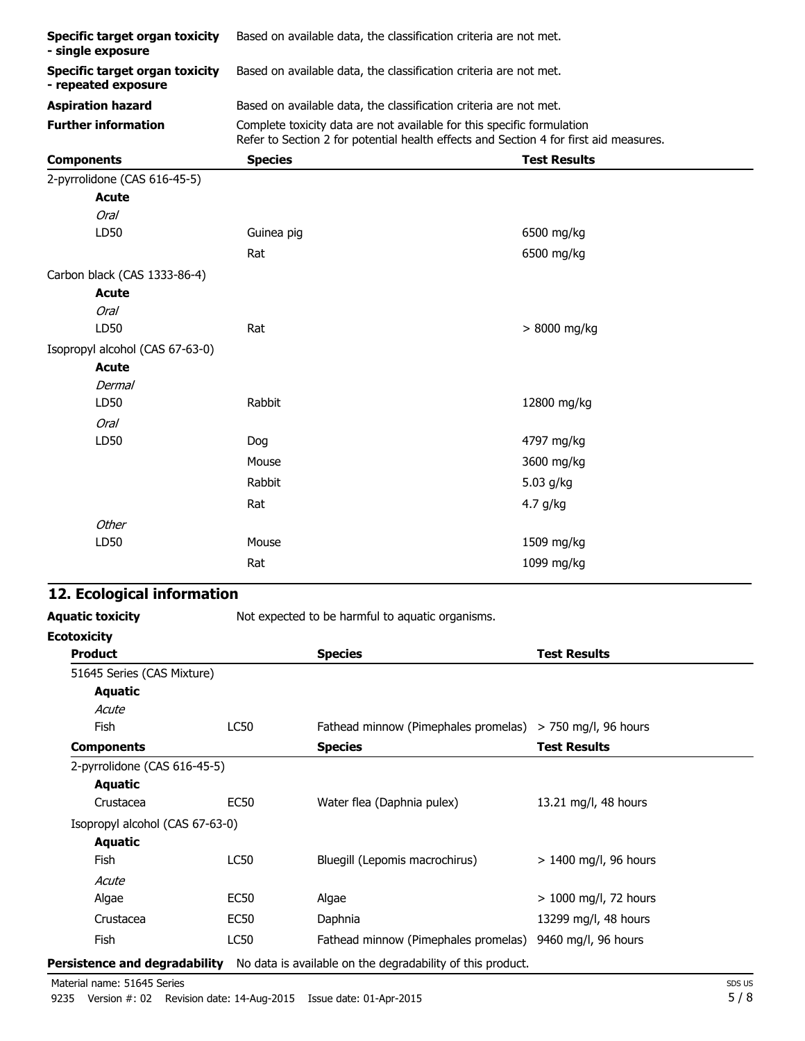| <b>Specific target organ toxicity</b><br>- single exposure   | Based on available data, the classification criteria are not met.                                                                                               |                                                                   |  |  |  |
|--------------------------------------------------------------|-----------------------------------------------------------------------------------------------------------------------------------------------------------------|-------------------------------------------------------------------|--|--|--|
| <b>Specific target organ toxicity</b><br>- repeated exposure | Based on available data, the classification criteria are not met.                                                                                               |                                                                   |  |  |  |
| <b>Aspiration hazard</b>                                     |                                                                                                                                                                 | Based on available data, the classification criteria are not met. |  |  |  |
| <b>Further information</b>                                   | Complete toxicity data are not available for this specific formulation<br>Refer to Section 2 for potential health effects and Section 4 for first aid measures. |                                                                   |  |  |  |
| <b>Components</b>                                            | <b>Species</b>                                                                                                                                                  | <b>Test Results</b>                                               |  |  |  |
| 2-pyrrolidone (CAS 616-45-5)                                 |                                                                                                                                                                 |                                                                   |  |  |  |
| <b>Acute</b>                                                 |                                                                                                                                                                 |                                                                   |  |  |  |
| <b>Oral</b>                                                  |                                                                                                                                                                 |                                                                   |  |  |  |
| LD50                                                         | Guinea pig                                                                                                                                                      | 6500 mg/kg                                                        |  |  |  |
|                                                              | Rat                                                                                                                                                             | 6500 mg/kg                                                        |  |  |  |
| Carbon black (CAS 1333-86-4)                                 |                                                                                                                                                                 |                                                                   |  |  |  |
| <b>Acute</b>                                                 |                                                                                                                                                                 |                                                                   |  |  |  |
| <b>Oral</b>                                                  |                                                                                                                                                                 |                                                                   |  |  |  |
| LD50                                                         | Rat                                                                                                                                                             | > 8000 mg/kg                                                      |  |  |  |
| Isopropyl alcohol (CAS 67-63-0)                              |                                                                                                                                                                 |                                                                   |  |  |  |
| <b>Acute</b>                                                 |                                                                                                                                                                 |                                                                   |  |  |  |
| <b>Dermal</b>                                                |                                                                                                                                                                 |                                                                   |  |  |  |
| LD50                                                         | Rabbit                                                                                                                                                          | 12800 mg/kg                                                       |  |  |  |
| <b>Oral</b>                                                  |                                                                                                                                                                 |                                                                   |  |  |  |
| LD50                                                         | Dog                                                                                                                                                             | 4797 mg/kg                                                        |  |  |  |
|                                                              | Mouse                                                                                                                                                           | 3600 mg/kg                                                        |  |  |  |
|                                                              | Rabbit                                                                                                                                                          | 5.03 g/kg                                                         |  |  |  |
|                                                              | Rat                                                                                                                                                             | 4.7 g/kg                                                          |  |  |  |
| Other                                                        |                                                                                                                                                                 |                                                                   |  |  |  |
| LD50                                                         | Mouse                                                                                                                                                           | 1509 mg/kg                                                        |  |  |  |
|                                                              | Rat                                                                                                                                                             | 1099 mg/kg                                                        |  |  |  |

## **12. Ecological information**

Aquatic toxicity **Aquatic toxicity** Not expected to be harmful to aquatic organisms.

| <b>Ecotoxicity</b>              |                  |                                                                                                 |                         |
|---------------------------------|------------------|-------------------------------------------------------------------------------------------------|-------------------------|
| <b>Product</b>                  |                  | <b>Species</b>                                                                                  | <b>Test Results</b>     |
| 51645 Series (CAS Mixture)      |                  |                                                                                                 |                         |
| <b>Aquatic</b>                  |                  |                                                                                                 |                         |
| Acute                           |                  |                                                                                                 |                         |
| Fish                            | LC50             | Fathead minnow (Pimephales promelas) > 750 mg/l, 96 hours                                       |                         |
| <b>Components</b>               |                  | <b>Species</b>                                                                                  | <b>Test Results</b>     |
| 2-pyrrolidone (CAS 616-45-5)    |                  |                                                                                                 |                         |
| Aquatic                         |                  |                                                                                                 |                         |
| Crustacea                       | <b>EC50</b>      | Water flea (Daphnia pulex)                                                                      | 13.21 mg/l, 48 hours    |
| Isopropyl alcohol (CAS 67-63-0) |                  |                                                                                                 |                         |
| Aquatic                         |                  |                                                                                                 |                         |
| Fish                            | <b>LC50</b>      | Bluegill (Lepomis macrochirus)                                                                  | $> 1400$ mg/l, 96 hours |
| Acute                           |                  |                                                                                                 |                         |
| Algae                           | EC <sub>50</sub> | Algae                                                                                           | $> 1000$ mg/l, 72 hours |
| Crustacea                       | <b>EC50</b>      | Daphnia                                                                                         | 13299 mg/l, 48 hours    |
| <b>Fish</b>                     | LC50             | Fathead minnow (Pimephales promelas)                                                            | 9460 mg/l, 96 hours     |
|                                 |                  | <b>Persistence and degradability</b> No data is available on the degradability of this product. |                         |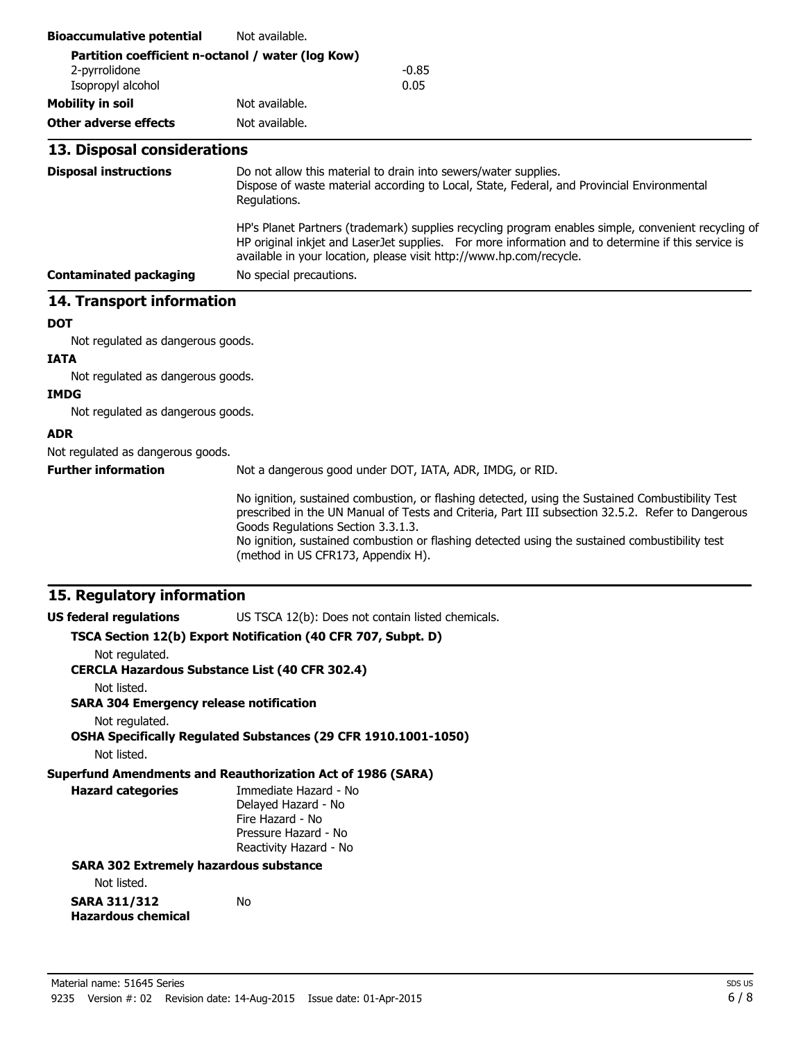| <b>Bioaccumulative potential</b>                              | Not available.                                                                                                                                                                                                                                                                                                                                                                      |  |  |  |
|---------------------------------------------------------------|-------------------------------------------------------------------------------------------------------------------------------------------------------------------------------------------------------------------------------------------------------------------------------------------------------------------------------------------------------------------------------------|--|--|--|
| Partition coefficient n-octanol / water (log Kow)             |                                                                                                                                                                                                                                                                                                                                                                                     |  |  |  |
| 2-pyrrolidone<br>Isopropyl alcohol                            | $-0.85$<br>0.05                                                                                                                                                                                                                                                                                                                                                                     |  |  |  |
| <b>Mobility in soil</b>                                       | Not available.                                                                                                                                                                                                                                                                                                                                                                      |  |  |  |
| <b>Other adverse effects</b>                                  | Not available.                                                                                                                                                                                                                                                                                                                                                                      |  |  |  |
|                                                               |                                                                                                                                                                                                                                                                                                                                                                                     |  |  |  |
| 13. Disposal considerations                                   |                                                                                                                                                                                                                                                                                                                                                                                     |  |  |  |
| <b>Disposal instructions</b>                                  | Do not allow this material to drain into sewers/water supplies.<br>Dispose of waste material according to Local, State, Federal, and Provincial Environmental<br>Regulations.                                                                                                                                                                                                       |  |  |  |
|                                                               | HP's Planet Partners (trademark) supplies recycling program enables simple, convenient recycling of<br>HP original inkjet and LaserJet supplies. For more information and to determine if this service is<br>available in your location, please visit http://www.hp.com/recycle.                                                                                                    |  |  |  |
| <b>Contaminated packaging</b>                                 | No special precautions.                                                                                                                                                                                                                                                                                                                                                             |  |  |  |
| 14. Transport information                                     |                                                                                                                                                                                                                                                                                                                                                                                     |  |  |  |
| <b>DOT</b>                                                    |                                                                                                                                                                                                                                                                                                                                                                                     |  |  |  |
| Not regulated as dangerous goods.                             |                                                                                                                                                                                                                                                                                                                                                                                     |  |  |  |
| <b>IATA</b>                                                   |                                                                                                                                                                                                                                                                                                                                                                                     |  |  |  |
| Not regulated as dangerous goods.                             |                                                                                                                                                                                                                                                                                                                                                                                     |  |  |  |
| <b>IMDG</b>                                                   |                                                                                                                                                                                                                                                                                                                                                                                     |  |  |  |
| Not regulated as dangerous goods.                             |                                                                                                                                                                                                                                                                                                                                                                                     |  |  |  |
| <b>ADR</b>                                                    |                                                                                                                                                                                                                                                                                                                                                                                     |  |  |  |
| Not regulated as dangerous goods.                             |                                                                                                                                                                                                                                                                                                                                                                                     |  |  |  |
| <b>Further information</b>                                    | Not a dangerous good under DOT, IATA, ADR, IMDG, or RID.                                                                                                                                                                                                                                                                                                                            |  |  |  |
|                                                               | No ignition, sustained combustion, or flashing detected, using the Sustained Combustibility Test<br>prescribed in the UN Manual of Tests and Criteria, Part III subsection 32.5.2. Refer to Dangerous<br>Goods Regulations Section 3.3.1.3.<br>No ignition, sustained combustion or flashing detected using the sustained combustibility test<br>(method in US CFR173, Appendix H). |  |  |  |
| 15. Regulatory information                                    |                                                                                                                                                                                                                                                                                                                                                                                     |  |  |  |
| <b>US federal regulations</b>                                 | US TSCA 12(b): Does not contain listed chemicals.                                                                                                                                                                                                                                                                                                                                   |  |  |  |
|                                                               | TSCA Section 12(b) Export Notification (40 CFR 707, Subpt. D)                                                                                                                                                                                                                                                                                                                       |  |  |  |
| Not regulated.                                                | <b>CERCLA Hazardous Substance List (40 CFR 302.4)</b>                                                                                                                                                                                                                                                                                                                               |  |  |  |
| Not listed.<br><b>SARA 304 Emergency release notification</b> |                                                                                                                                                                                                                                                                                                                                                                                     |  |  |  |
| Not regulated.                                                | OSHA Specifically Regulated Substances (29 CFR 1910.1001-1050)                                                                                                                                                                                                                                                                                                                      |  |  |  |
| Not listed.                                                   |                                                                                                                                                                                                                                                                                                                                                                                     |  |  |  |
| <b>Hazard categories</b>                                      | <b>Superfund Amendments and Reauthorization Act of 1986 (SARA)</b><br>Immediate Hazard - No<br>Delayed Hazard - No<br>Fire Hazard - No<br>Pressure Hazard - No<br>Reactivity Hazard - No                                                                                                                                                                                            |  |  |  |
| <b>SARA 302 Extremely hazardous substance</b>                 |                                                                                                                                                                                                                                                                                                                                                                                     |  |  |  |
| Not listed.                                                   |                                                                                                                                                                                                                                                                                                                                                                                     |  |  |  |
| <b>SARA 311/312</b><br><b>Hazardous chemical</b>              | No                                                                                                                                                                                                                                                                                                                                                                                  |  |  |  |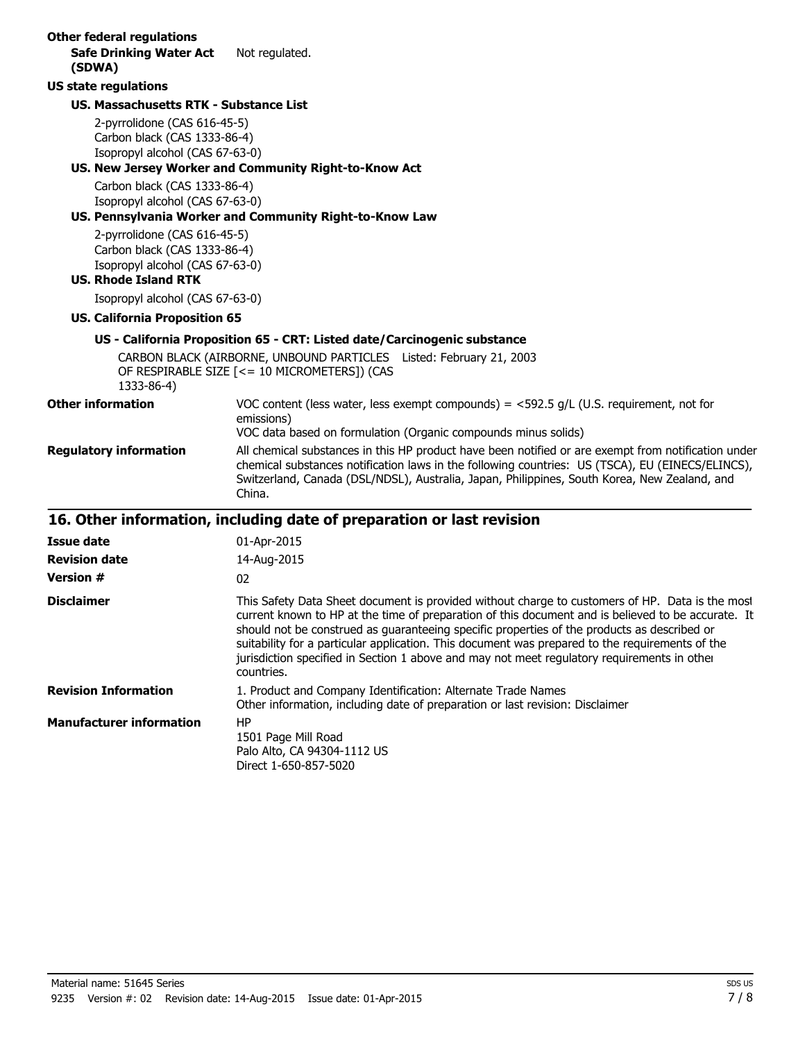| <b>Other federal regulations</b><br><b>Safe Drinking Water Act</b>       | Not regulated.                                                                                                                                                                                                                                                                                                                                                                                                                                                                                                       |  |
|--------------------------------------------------------------------------|----------------------------------------------------------------------------------------------------------------------------------------------------------------------------------------------------------------------------------------------------------------------------------------------------------------------------------------------------------------------------------------------------------------------------------------------------------------------------------------------------------------------|--|
| (SDWA)                                                                   |                                                                                                                                                                                                                                                                                                                                                                                                                                                                                                                      |  |
| <b>US state regulations</b>                                              |                                                                                                                                                                                                                                                                                                                                                                                                                                                                                                                      |  |
| <b>US. Massachusetts RTK - Substance List</b>                            |                                                                                                                                                                                                                                                                                                                                                                                                                                                                                                                      |  |
| 2-pyrrolidone (CAS 616-45-5)                                             |                                                                                                                                                                                                                                                                                                                                                                                                                                                                                                                      |  |
| Carbon black (CAS 1333-86-4)                                             |                                                                                                                                                                                                                                                                                                                                                                                                                                                                                                                      |  |
| Isopropyl alcohol (CAS 67-63-0)                                          | US. New Jersey Worker and Community Right-to-Know Act                                                                                                                                                                                                                                                                                                                                                                                                                                                                |  |
| Carbon black (CAS 1333-86-4)                                             |                                                                                                                                                                                                                                                                                                                                                                                                                                                                                                                      |  |
| Isopropyl alcohol (CAS 67-63-0)                                          |                                                                                                                                                                                                                                                                                                                                                                                                                                                                                                                      |  |
|                                                                          | US. Pennsylvania Worker and Community Right-to-Know Law                                                                                                                                                                                                                                                                                                                                                                                                                                                              |  |
| 2-pyrrolidone (CAS 616-45-5)                                             |                                                                                                                                                                                                                                                                                                                                                                                                                                                                                                                      |  |
| Carbon black (CAS 1333-86-4)                                             |                                                                                                                                                                                                                                                                                                                                                                                                                                                                                                                      |  |
| Isopropyl alcohol (CAS 67-63-0)<br><b>US. Rhode Island RTK</b>           |                                                                                                                                                                                                                                                                                                                                                                                                                                                                                                                      |  |
| Isopropyl alcohol (CAS 67-63-0)                                          |                                                                                                                                                                                                                                                                                                                                                                                                                                                                                                                      |  |
| <b>US. California Proposition 65</b>                                     |                                                                                                                                                                                                                                                                                                                                                                                                                                                                                                                      |  |
| US - California Proposition 65 - CRT: Listed date/Carcinogenic substance |                                                                                                                                                                                                                                                                                                                                                                                                                                                                                                                      |  |
|                                                                          |                                                                                                                                                                                                                                                                                                                                                                                                                                                                                                                      |  |
| 1333-86-4)                                                               | CARBON BLACK (AIRBORNE, UNBOUND PARTICLES Listed: February 21, 2003<br>OF RESPIRABLE SIZE [<= 10 MICROMETERS]) (CAS                                                                                                                                                                                                                                                                                                                                                                                                  |  |
| <b>Other information</b>                                                 | VOC content (less water, less exempt compounds) = $<$ 592.5 g/L (U.S. requirement, not for                                                                                                                                                                                                                                                                                                                                                                                                                           |  |
|                                                                          | emissions)                                                                                                                                                                                                                                                                                                                                                                                                                                                                                                           |  |
|                                                                          | VOC data based on formulation (Organic compounds minus solids)                                                                                                                                                                                                                                                                                                                                                                                                                                                       |  |
| <b>Regulatory information</b>                                            | All chemical substances in this HP product have been notified or are exempt from notification under<br>chemical substances notification laws in the following countries: US (TSCA), EU (EINECS/ELINCS),<br>Switzerland, Canada (DSL/NDSL), Australia, Japan, Philippines, South Korea, New Zealand, and<br>China.                                                                                                                                                                                                    |  |
| 16. Other information, including date of preparation or last revision    |                                                                                                                                                                                                                                                                                                                                                                                                                                                                                                                      |  |
| <b>Issue date</b>                                                        | 01-Apr-2015                                                                                                                                                                                                                                                                                                                                                                                                                                                                                                          |  |
| <b>Revision date</b>                                                     | 14-Aug-2015                                                                                                                                                                                                                                                                                                                                                                                                                                                                                                          |  |
| <b>Version #</b>                                                         | 02                                                                                                                                                                                                                                                                                                                                                                                                                                                                                                                   |  |
| <b>Disclaimer</b>                                                        | This Safety Data Sheet document is provided without charge to customers of HP. Data is the most<br>current known to HP at the time of preparation of this document and is believed to be accurate. It<br>should not be construed as guaranteeing specific properties of the products as described or<br>suitability for a particular application. This document was prepared to the requirements of the<br>jurisdiction specified in Section 1 above and may not meet regulatory requirements in other<br>countries. |  |
| <b>Revision Information</b>                                              | 1. Product and Company Identification: Alternate Trade Names<br>Other information, including date of preparation or last revision: Disclaimer                                                                                                                                                                                                                                                                                                                                                                        |  |
| <b>Manufacturer information</b>                                          | HP<br>1501 Page Mill Road<br>Palo Alto, CA 94304-1112 US<br>Direct 1-650-857-5020                                                                                                                                                                                                                                                                                                                                                                                                                                    |  |